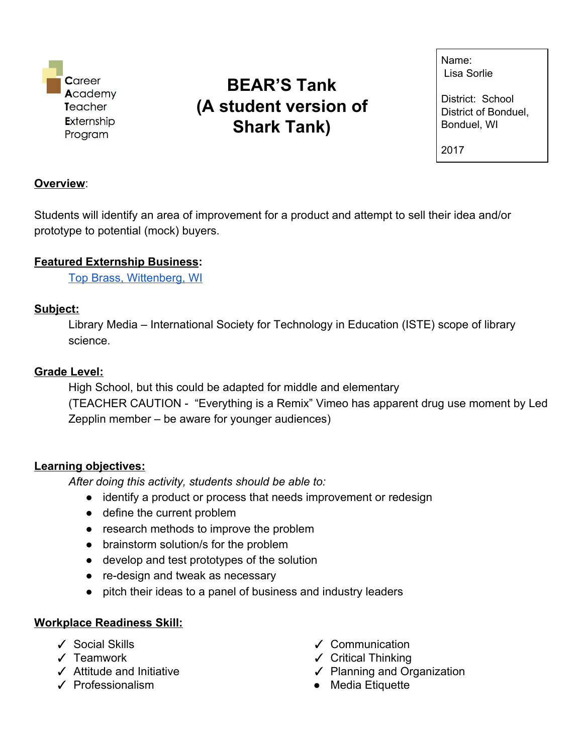

# **BEAR'S Tank (A student version of Shark Tank)**

Name: Lisa Sorlie

District: School District of Bonduel, Bonduel, WI

2017

#### **Overview**:

Students will identify an area of improvement for a product and attempt to sell their idea and/or prototype to potential (mock) buyers.

### **Featured Externship Business:**

Top Brass, [Wittenberg,](http://www.topbrassinc.com/) WI

### **Subject:**

Library Media – International Society for Technology in Education (ISTE) scope of library science.

### **Grade Level:**

High School, but this could be adapted for middle and elementary (TEACHER CAUTION - "Everything is a Remix" Vimeo has apparent drug use moment by Led Zepplin member – be aware for younger audiences)

### **Learning objectives:**

*After doing this activity, students should be able to:*

- identify a product or process that needs improvement or redesign
- define the current problem
- research methods to improve the problem
- brainstorm solution/s for the problem
- develop and test prototypes of the solution
- re-design and tweak as necessary
- pitch their ideas to a panel of business and industry leaders

### **Workplace Readiness Skill:**

- ✓ Social Skills
- ✓ Teamwork
- ✓ Attitude and Initiative
- ✓ Professionalism
- ✓ Communication
- ✓ Critical Thinking
- ✓ Planning and Organization
- Media Etiquette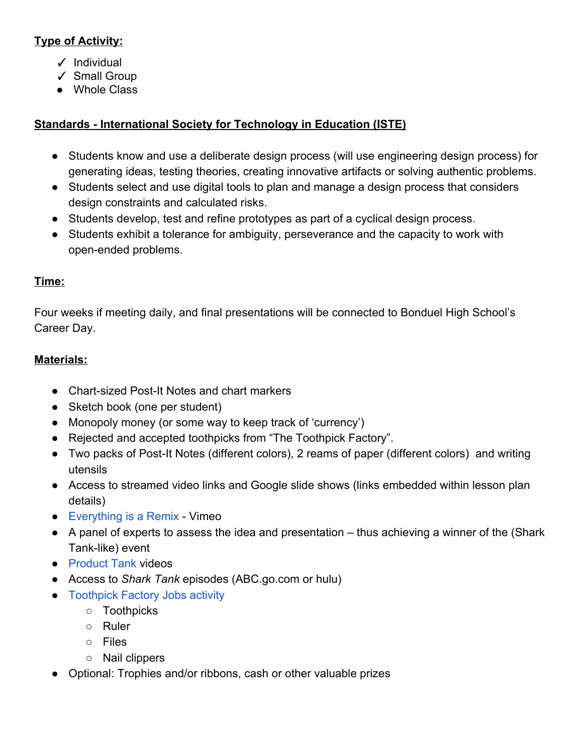# **Type of Activity:**

- ✓ Individual
- ✓ Small Group
- Whole Class

# **Standards - International Society for Technology in Education (ISTE)**

- Students know and use a deliberate design process (will use engineering design process) for generating ideas, testing theories, creating innovative artifacts or solving authentic problems.
- Students select and use digital tools to plan and manage a design process that considers design constraints and calculated risks.
- Students develop, test and refine prototypes as part of a cyclical design process.
- Students exhibit a tolerance for ambiguity, perseverance and the capacity to work with open-ended problems.

# **Time:**

Four weeks if meeting daily, and final presentations will be connected to Bonduel High School's Career Day.

# **Materials:**

- Chart-sized Post-It Notes and chart markers
- Sketch book (one per student)
- Monopoly money (or some way to keep track of 'currency')
- Rejected and accepted toothpicks from "The Toothpick Factory".
- Two packs of Post-It Notes (different colors), 2 reams of paper (different colors) and writing utensils
- Access to streamed video links and Google slide shows (links embedded within lesson plan details)
- [Everything](https://vimeo.com/139094998) is a Remix Vimeo
- A panel of experts to assess the idea and presentation thus achieving a winner of the (Shark Tank-like) event
- [Product](https://www.youtube.com/watch?v=CnKeVs-_9zs) Tank videos
- Access to *Shark Tank* episodes (ABC.go.com or hulu)
- [Toothpick](https://docs.google.com/document/d/1u0--iTid-SA3uLRrcVwFTZuSHavcKVdo2B-EorQ4fkg/edit) Factory Jobs [activity](https://docs.google.com/document/d/1u0--iTid-SA3uLRrcVwFTZuSHavcKVdo2B-EorQ4fkg/edit)
	- Toothpicks
	- Ruler
	- Files
	- Nail clippers
- Optional: Trophies and/or ribbons, cash or other valuable prizes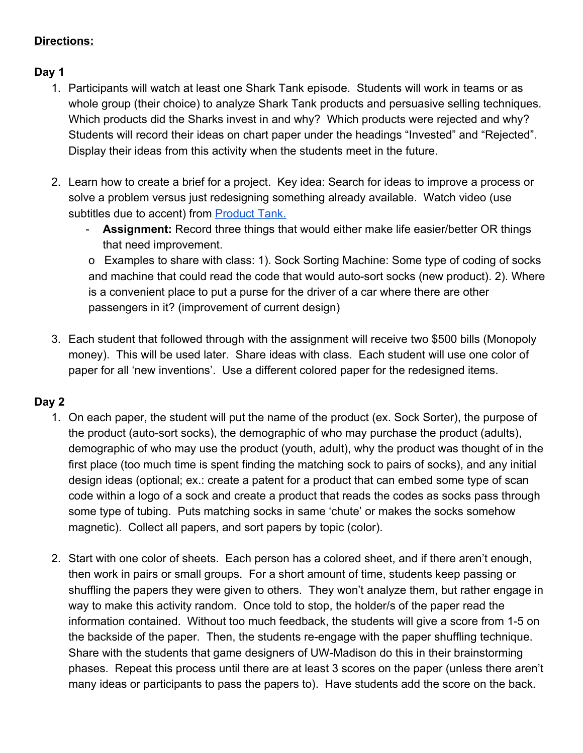# **Directions:**

# **Day 1**

- 1. Participants will watch at least one Shark Tank episode. Students will work in teams or as whole group (their choice) to analyze Shark Tank products and persuasive selling techniques. Which products did the Sharks invest in and why? Which products were rejected and why? Students will record their ideas on chart paper under the headings "Invested" and "Rejected". Display their ideas from this activity when the students meet in the future.
- 2. Learn how to create a brief for a project. Key idea: Search for ideas to improve a process or solve a problem versus just redesigning something already available. Watch video (use subtitles due to accent) fro[m](https://www.youtube.com/watch?v=CnKeVs-_9zs) [Product](https://www.youtube.com/watch?v=CnKeVs-_9zs) Tank.
	- **Assignment:** Record three things that would either make life easier/better OR things that need improvement.

o Examples to share with class: 1). Sock Sorting Machine: Some type of coding of socks and machine that could read the code that would auto-sort socks (new product). 2). Where is a convenient place to put a purse for the driver of a car where there are other passengers in it? (improvement of current design)

3. Each student that followed through with the assignment will receive two \$500 bills (Monopoly money). This will be used later. Share ideas with class. Each student will use one color of paper for all 'new inventions'. Use a different colored paper for the redesigned items.

# **Day 2**

- 1. On each paper, the student will put the name of the product (ex. Sock Sorter), the purpose of the product (auto-sort socks), the demographic of who may purchase the product (adults), demographic of who may use the product (youth, adult), why the product was thought of in the first place (too much time is spent finding the matching sock to pairs of socks), and any initial design ideas (optional; ex.: create a patent for a product that can embed some type of scan code within a logo of a sock and create a product that reads the codes as socks pass through some type of tubing. Puts matching socks in same 'chute' or makes the socks somehow magnetic). Collect all papers, and sort papers by topic (color).
- 2. Start with one color of sheets. Each person has a colored sheet, and if there aren't enough, then work in pairs or small groups. For a short amount of time, students keep passing or shuffling the papers they were given to others. They won't analyze them, but rather engage in way to make this activity random. Once told to stop, the holder/s of the paper read the information contained. Without too much feedback, the students will give a score from 1-5 on the backside of the paper. Then, the students re-engage with the paper shuffling technique. Share with the students that game designers of UW-Madison do this in their brainstorming phases. Repeat this process until there are at least 3 scores on the paper (unless there aren't many ideas or participants to pass the papers to). Have students add the score on the back.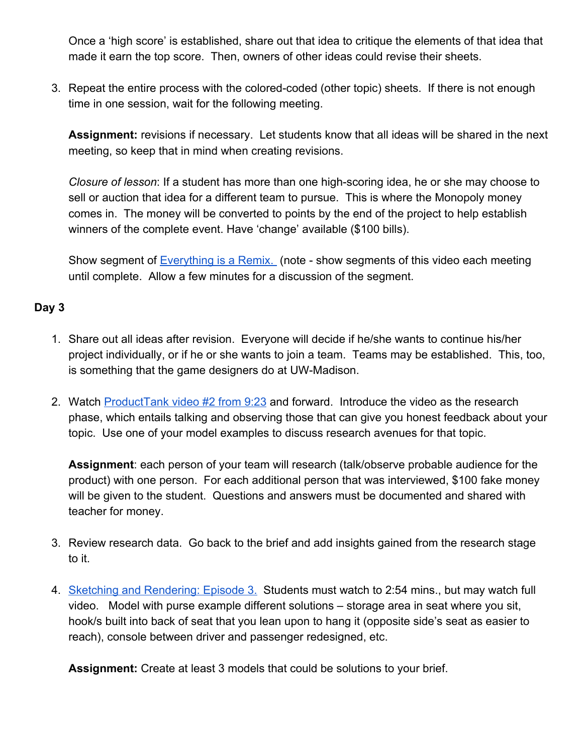Once a 'high score' is established, share out that idea to critique the elements of that idea that made it earn the top score. Then, owners of other ideas could revise their sheets.

3. Repeat the entire process with the colored-coded (other topic) sheets. If there is not enough time in one session, wait for the following meeting.

**Assignment:** revisions if necessary. Let students know that all ideas will be shared in the next meeting, so keep that in mind when creating revisions.

*Closure of lesson*: If a student has more than one high-scoring idea, he or she may choose to sell or auction that idea for a different team to pursue. This is where the Monopoly money comes in. The money will be converted to points by the end of the project to help establish winners of the complete event. Have 'change' available (\$100 bills).

Show segment of **[Everything](https://vimeo.com/139094998) is a Remix.** (note - show segments of this video each meeting until complete. Allow a few minutes for a discussion of the segment.

### **Day 3**

- 1. Share out all ideas after revision. Everyone will decide if he/she wants to continue his/her project individually, or if he or she wants to join a team. Teams may be established. This, too, is something that the game designers do at UW-Madison.
- 2. Watch [ProductTank](https://youtu.be/FbYx8Agg2z0?t=9m23s) video #2 from 9:23 and forward. Introduce the video as the research phase, which entails talking and observing those that can give you honest feedback about your topic. Use one of your model examples to discuss research avenues for that topic.

**Assignment**: each person of your team will research (talk/observe probable audience for the product) with one person. For each additional person that was interviewed, \$100 fake money will be given to the student. Questions and answers must be documented and shared with teacher for money.

- 3. Review research data. Go back to the brief and add insights gained from the research stage to it.
- 4. Sketching and [Rendering:](https://www.youtube.com/watch?v=wWCQTOTNnwc) Episode 3. Students must watch to 2:54 mins., but may watch full video. Model with purse example different solutions – storage area in seat where you sit, hook/s built into back of seat that you lean upon to hang it (opposite side's seat as easier to reach), console between driver and passenger redesigned, etc.

**Assignment:** Create at least 3 models that could be solutions to your brief.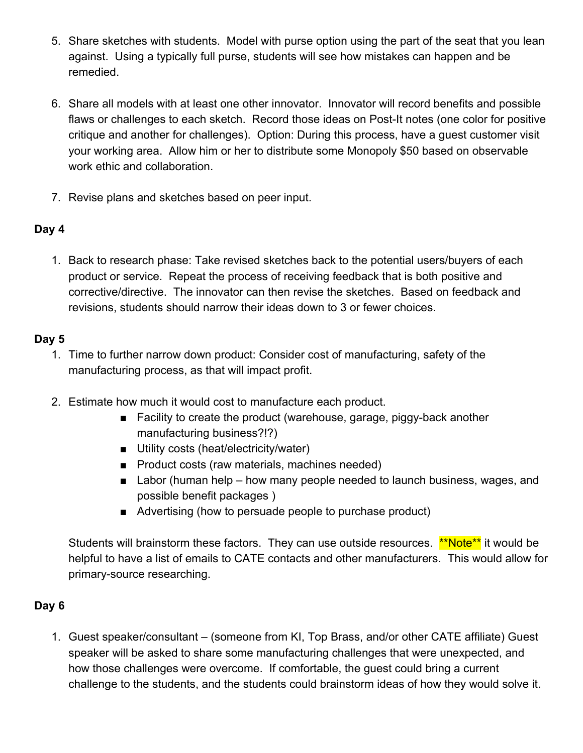- 5. Share sketches with students. Model with purse option using the part of the seat that you lean against. Using a typically full purse, students will see how mistakes can happen and be remedied.
- 6. Share all models with at least one other innovator. Innovator will record benefits and possible flaws or challenges to each sketch. Record those ideas on Post-It notes (one color for positive critique and another for challenges). Option: During this process, have a guest customer visit your working area. Allow him or her to distribute some Monopoly \$50 based on observable work ethic and collaboration.
- 7. Revise plans and sketches based on peer input.

# **Day 4**

1. Back to research phase: Take revised sketches back to the potential users/buyers of each product or service. Repeat the process of receiving feedback that is both positive and corrective/directive. The innovator can then revise the sketches. Based on feedback and revisions, students should narrow their ideas down to 3 or fewer choices.

### **Day 5**

- 1. Time to further narrow down product: Consider cost of manufacturing, safety of the manufacturing process, as that will impact profit.
- 2. Estimate how much it would cost to manufacture each product.
	- Facility to create the product (warehouse, garage, piggy-back another manufacturing business?!?)
	- Utility costs (heat/electricity/water)
	- Product costs (raw materials, machines needed)
	- Labor (human help how many people needed to launch business, wages, and possible benefit packages )
	- Advertising (how to persuade people to purchase product)

Students will brainstorm these factors. They can use outside resources. \*\*Note\*\* it would be helpful to have a list of emails to CATE contacts and other manufacturers. This would allow for primary-source researching.

# **Day 6**

1. Guest speaker/consultant – (someone from KI, Top Brass, and/or other CATE affiliate) Guest speaker will be asked to share some manufacturing challenges that were unexpected, and how those challenges were overcome. If comfortable, the guest could bring a current challenge to the students, and the students could brainstorm ideas of how they would solve it.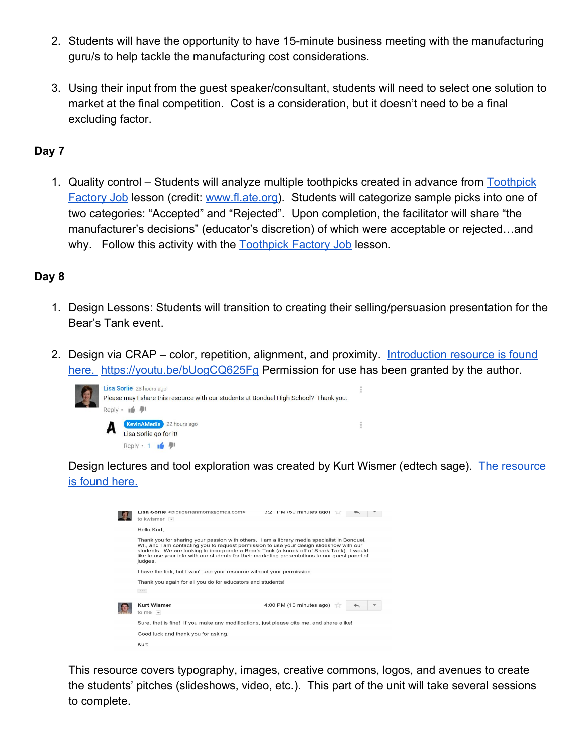- 2. Students will have the opportunity to have 15-minute business meeting with the manufacturing guru/s to help tackle the manufacturing cost considerations.
- 3. Using their input from the guest speaker/consultant, students will need to select one solution to market at the final competition. Cost is a consideration, but it doesn't need to be a final excluding factor.

### **Day 7**

1. Quality control – Students will analyze multiple toothpicks created in advance from [Toothpick](http://fl-ate.org/news/docs/publications/2b%20ASEE%2008%20TF.pdf) [Factory](http://fl-ate.org/news/docs/publications/2b%20ASEE%2008%20TF.pdf) Job lesson (credit: [www.fl.ate.org](http://www.fl.ate.org/)). Students will categorize sample picks into one of two categories: "Accepted" and "Rejected". Upon completion, the facilitator will share "the manufacturer's decisions" (educator's discretion) of which were acceptable or rejected…and why. Follow this activity with the **[Toothpick](http://fl-ate.org/news/docs/publications/2b%20ASEE%2008%20TF.pdf) Factory Job** lesson.

### **Day 8**

- 1. Design Lessons: Students will transition to creating their selling/persuasion presentation for the Bear's Tank event.
- 2. Design via CRAP color, repetition, alignment, and proximity. [Introduction](https://yohttps/youtu.be/bUogCQ625Fgutu.be/bUogCQ625Fg) resource is found [here.](https://yohttps/youtu.be/bUogCQ625Fgutu.be/bUogCQ625Fg) <https://youtu.be/bUogCQ625Fg> Permission for use has been granted by the author.



Design lectures and tool exploration was created by Kurt Wismer (edtech sage). [T](https://docs.google.com/presentation/d/1KCQ4h6soHikA1ZCGneoBEBOHeUrNr-KC_CDFWAYLM8E/pub?start=false&loop=false&delayms=3000&slide=id.p)he [resource](https://docs.google.com/presentation/d/1KCQ4h6soHikA1ZCGneoBEBOHeUrNr-KC_CDFWAYLM8E/pub?start=false&loop=false&delayms=3000&slide=id.p) is [found](https://docs.google.com/presentation/d/1KCQ4h6soHikA1ZCGneoBEBOHeUrNr-KC_CDFWAYLM8E/pub?start=false&loop=false&delayms=3000&slide=id.p) here.

|  | <b>Lisa Sorile</b><br>com><br>to kwismer $\blacktriangleright$                                                                                                                                                                                                                                                                                                                                                                                                                                                                                              | 3:21 PM (50 minutes ago) |
|--|-------------------------------------------------------------------------------------------------------------------------------------------------------------------------------------------------------------------------------------------------------------------------------------------------------------------------------------------------------------------------------------------------------------------------------------------------------------------------------------------------------------------------------------------------------------|--------------------------|
|  | Hello Kurt,<br>Thank you for sharing your passion with others. I am a library media specialist in Bonduel.<br>WI., and I am contacting you to request permission to use your design slideshow with our<br>students. We are looking to incorporate a Bear's Tank (a knock-off of Shark Tank). I would<br>like to use your info with our students for their marketing presentations to our guest panel of<br>judges.<br>I have the link, but I won't use your resource without your permission.<br>Thank you again for all you do for educators and students! |                          |
|  |                                                                                                                                                                                                                                                                                                                                                                                                                                                                                                                                                             |                          |
|  |                                                                                                                                                                                                                                                                                                                                                                                                                                                                                                                                                             |                          |
|  | <b>Kurt Wismer</b><br>to me $-$                                                                                                                                                                                                                                                                                                                                                                                                                                                                                                                             | 4:00 PM (10 minutes ago) |
|  | Sure, that is fine! If you make any modifications, just please cite me, and share alike!                                                                                                                                                                                                                                                                                                                                                                                                                                                                    |                          |
|  | Good luck and thank you for asking.                                                                                                                                                                                                                                                                                                                                                                                                                                                                                                                         |                          |
|  | Kurt                                                                                                                                                                                                                                                                                                                                                                                                                                                                                                                                                        |                          |

This resource covers typography, images, creative commons, logos, and avenues to create the students' pitches (slideshows, video, etc.). This part of the unit will take several sessions to complete.